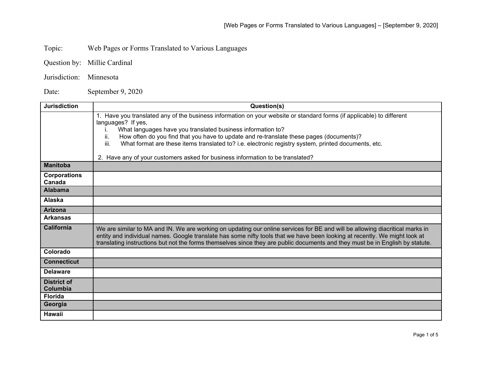Topic: Web Pages or Forms Translated to Various Languages

- Question by: Millie Cardinal
- Jurisdiction: Minnesota

Date: September 9, 2020

| <b>Jurisdiction</b>           | Question(s)                                                                                                                                                                                                                                                                                                                                                                                 |
|-------------------------------|---------------------------------------------------------------------------------------------------------------------------------------------------------------------------------------------------------------------------------------------------------------------------------------------------------------------------------------------------------------------------------------------|
|                               | 1. Have you translated any of the business information on your website or standard forms (if applicable) to different<br>languages? If yes,                                                                                                                                                                                                                                                 |
|                               | What languages have you translated business information to?<br>Τ.                                                                                                                                                                                                                                                                                                                           |
|                               | ii.<br>How often do you find that you have to update and re-translate these pages (documents)?                                                                                                                                                                                                                                                                                              |
|                               | iii.<br>What format are these items translated to? i.e. electronic registry system, printed documents, etc.                                                                                                                                                                                                                                                                                 |
|                               | 2. Have any of your customers asked for business information to be translated?                                                                                                                                                                                                                                                                                                              |
| <b>Manitoba</b>               |                                                                                                                                                                                                                                                                                                                                                                                             |
| <b>Corporations</b><br>Canada |                                                                                                                                                                                                                                                                                                                                                                                             |
| <b>Alabama</b>                |                                                                                                                                                                                                                                                                                                                                                                                             |
| Alaska                        |                                                                                                                                                                                                                                                                                                                                                                                             |
| <b>Arizona</b>                |                                                                                                                                                                                                                                                                                                                                                                                             |
| <b>Arkansas</b>               |                                                                                                                                                                                                                                                                                                                                                                                             |
| <b>California</b>             | We are similar to MA and IN. We are working on updating our online services for BE and will be allowing diacritical marks in<br>entity and individual names. Google translate has some nifty tools that we have been looking at recently. We might look at<br>translating instructions but not the forms themselves since they are public documents and they must be in English by statute. |
| Colorado                      |                                                                                                                                                                                                                                                                                                                                                                                             |
| <b>Connecticut</b>            |                                                                                                                                                                                                                                                                                                                                                                                             |
| <b>Delaware</b>               |                                                                                                                                                                                                                                                                                                                                                                                             |
| <b>District of</b>            |                                                                                                                                                                                                                                                                                                                                                                                             |
| Columbia                      |                                                                                                                                                                                                                                                                                                                                                                                             |
| <b>Florida</b>                |                                                                                                                                                                                                                                                                                                                                                                                             |
| Georgia                       |                                                                                                                                                                                                                                                                                                                                                                                             |
| <b>Hawaii</b>                 |                                                                                                                                                                                                                                                                                                                                                                                             |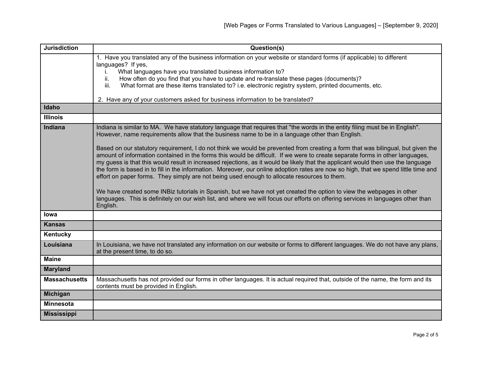| <b>Jurisdiction</b>  | Question(s)                                                                                                                                                                                                                                                                                                                                                                                                                                                                                                                                                                                                                                |
|----------------------|--------------------------------------------------------------------------------------------------------------------------------------------------------------------------------------------------------------------------------------------------------------------------------------------------------------------------------------------------------------------------------------------------------------------------------------------------------------------------------------------------------------------------------------------------------------------------------------------------------------------------------------------|
|                      | 1. Have you translated any of the business information on your website or standard forms (if applicable) to different<br>languages? If yes,                                                                                                                                                                                                                                                                                                                                                                                                                                                                                                |
|                      | What languages have you translated business information to?<br>i.                                                                                                                                                                                                                                                                                                                                                                                                                                                                                                                                                                          |
|                      | How often do you find that you have to update and re-translate these pages (documents)?<br>ii.                                                                                                                                                                                                                                                                                                                                                                                                                                                                                                                                             |
|                      | What format are these items translated to? i.e. electronic registry system, printed documents, etc.<br>iii.                                                                                                                                                                                                                                                                                                                                                                                                                                                                                                                                |
|                      |                                                                                                                                                                                                                                                                                                                                                                                                                                                                                                                                                                                                                                            |
|                      | 2. Have any of your customers asked for business information to be translated?                                                                                                                                                                                                                                                                                                                                                                                                                                                                                                                                                             |
| Idaho                |                                                                                                                                                                                                                                                                                                                                                                                                                                                                                                                                                                                                                                            |
| <b>Illinois</b>      |                                                                                                                                                                                                                                                                                                                                                                                                                                                                                                                                                                                                                                            |
| Indiana              | Indiana is similar to MA. We have statutory language that requires that "the words in the entity filing must be in English".<br>However, name requirements allow that the business name to be in a language other than English.                                                                                                                                                                                                                                                                                                                                                                                                            |
|                      | Based on our statutory requirement, I do not think we would be prevented from creating a form that was bilingual, but given the<br>amount of information contained in the forms this would be difficult. If we were to create separate forms in other languages,<br>my guess is that this would result in increased rejections, as it would be likely that the applicant would then use the language<br>the form is based in to fill in the information. Moreover, our online adoption rates are now so high, that we spend little time and<br>effort on paper forms. They simply are not being used enough to allocate resources to them. |
|                      | We have created some INBiz tutorials in Spanish, but we have not yet created the option to view the webpages in other<br>languages. This is definitely on our wish list, and where we will focus our efforts on offering services in languages other than<br>English.                                                                                                                                                                                                                                                                                                                                                                      |
| lowa                 |                                                                                                                                                                                                                                                                                                                                                                                                                                                                                                                                                                                                                                            |
| <b>Kansas</b>        |                                                                                                                                                                                                                                                                                                                                                                                                                                                                                                                                                                                                                                            |
| Kentucky             |                                                                                                                                                                                                                                                                                                                                                                                                                                                                                                                                                                                                                                            |
| Louisiana            | In Louisiana, we have not translated any information on our website or forms to different languages. We do not have any plans,<br>at the present time, to do so.                                                                                                                                                                                                                                                                                                                                                                                                                                                                           |
| <b>Maine</b>         |                                                                                                                                                                                                                                                                                                                                                                                                                                                                                                                                                                                                                                            |
| <b>Maryland</b>      |                                                                                                                                                                                                                                                                                                                                                                                                                                                                                                                                                                                                                                            |
| <b>Massachusetts</b> | Massachusetts has not provided our forms in other languages. It is actual required that, outside of the name, the form and its<br>contents must be provided in English.                                                                                                                                                                                                                                                                                                                                                                                                                                                                    |
| Michigan             |                                                                                                                                                                                                                                                                                                                                                                                                                                                                                                                                                                                                                                            |
| <b>Minnesota</b>     |                                                                                                                                                                                                                                                                                                                                                                                                                                                                                                                                                                                                                                            |
| <b>Mississippi</b>   |                                                                                                                                                                                                                                                                                                                                                                                                                                                                                                                                                                                                                                            |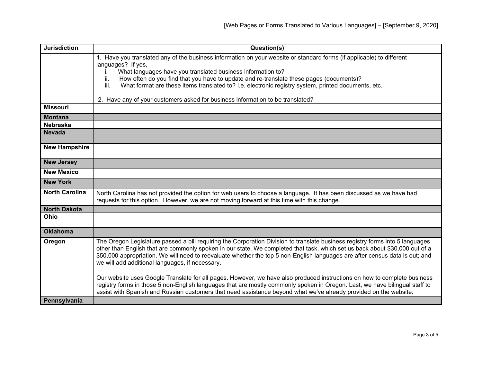| <b>Jurisdiction</b>   | Question(s)                                                                                                                                                                                                                                                                                                                                                                                                                                     |
|-----------------------|-------------------------------------------------------------------------------------------------------------------------------------------------------------------------------------------------------------------------------------------------------------------------------------------------------------------------------------------------------------------------------------------------------------------------------------------------|
|                       | 1. Have you translated any of the business information on your website or standard forms (if applicable) to different                                                                                                                                                                                                                                                                                                                           |
|                       | languages? If yes,                                                                                                                                                                                                                                                                                                                                                                                                                              |
|                       | What languages have you translated business information to?<br>İ.                                                                                                                                                                                                                                                                                                                                                                               |
|                       | How often do you find that you have to update and re-translate these pages (documents)?<br>ii.<br>iii.                                                                                                                                                                                                                                                                                                                                          |
|                       | What format are these items translated to? i.e. electronic registry system, printed documents, etc.                                                                                                                                                                                                                                                                                                                                             |
|                       | 2. Have any of your customers asked for business information to be translated?                                                                                                                                                                                                                                                                                                                                                                  |
| <b>Missouri</b>       |                                                                                                                                                                                                                                                                                                                                                                                                                                                 |
| <b>Montana</b>        |                                                                                                                                                                                                                                                                                                                                                                                                                                                 |
| <b>Nebraska</b>       |                                                                                                                                                                                                                                                                                                                                                                                                                                                 |
| <b>Nevada</b>         |                                                                                                                                                                                                                                                                                                                                                                                                                                                 |
| <b>New Hampshire</b>  |                                                                                                                                                                                                                                                                                                                                                                                                                                                 |
| <b>New Jersey</b>     |                                                                                                                                                                                                                                                                                                                                                                                                                                                 |
| <b>New Mexico</b>     |                                                                                                                                                                                                                                                                                                                                                                                                                                                 |
| <b>New York</b>       |                                                                                                                                                                                                                                                                                                                                                                                                                                                 |
| <b>North Carolina</b> | North Carolina has not provided the option for web users to choose a language. It has been discussed as we have had                                                                                                                                                                                                                                                                                                                             |
|                       | requests for this option. However, we are not moving forward at this time with this change.                                                                                                                                                                                                                                                                                                                                                     |
| <b>North Dakota</b>   |                                                                                                                                                                                                                                                                                                                                                                                                                                                 |
| Ohio                  |                                                                                                                                                                                                                                                                                                                                                                                                                                                 |
| <b>Oklahoma</b>       |                                                                                                                                                                                                                                                                                                                                                                                                                                                 |
| Oregon                | The Oregon Legislature passed a bill requiring the Corporation Division to translate business registry forms into 5 languages<br>other than English that are commonly spoken in our state. We completed that task, which set us back about \$30,000 out of a<br>\$50,000 appropriation. We will need to reevaluate whether the top 5 non-English languages are after census data is out; and<br>we will add additional languages, if necessary. |
|                       | Our website uses Google Translate for all pages. However, we have also produced instructions on how to complete business<br>registry forms in those 5 non-English languages that are mostly commonly spoken in Oregon. Last, we have bilingual staff to<br>assist with Spanish and Russian customers that need assistance beyond what we've already provided on the website.                                                                    |
| Pennsylvania          |                                                                                                                                                                                                                                                                                                                                                                                                                                                 |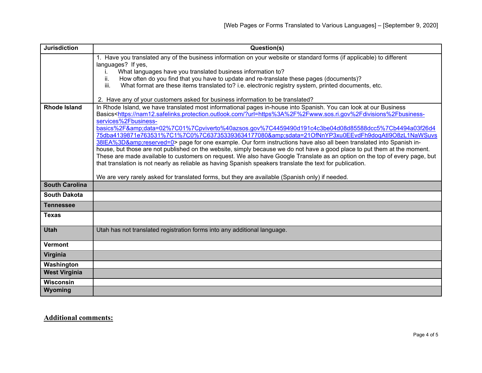| <b>Jurisdiction</b>   | Question(s)                                                                                                                                                                                       |
|-----------------------|---------------------------------------------------------------------------------------------------------------------------------------------------------------------------------------------------|
|                       | 1. Have you translated any of the business information on your website or standard forms (if applicable) to different                                                                             |
|                       | languages? If yes,                                                                                                                                                                                |
|                       | What languages have you translated business information to?<br>Τ.<br>How often do you find that you have to update and re-translate these pages (documents)?<br>ii.                               |
|                       | What format are these items translated to? i.e. electronic registry system, printed documents, etc.<br>iii.                                                                                       |
|                       |                                                                                                                                                                                                   |
|                       | 2. Have any of your customers asked for business information to be translated?                                                                                                                    |
| <b>Rhode Island</b>   | In Rhode Island, we have translated most informational pages in-house into Spanish. You can look at our Business                                                                                  |
|                       | Basics <https: ?url="https%3A%2F%2Fwww.sos.ri.gov%2Fdivisions%2Fbusiness-&lt;/th" nam12.safelinks.protection.outlook.com=""></https:>                                                             |
|                       | services%2Fbusiness-                                                                                                                                                                              |
|                       | basics%2F&data=02%7C01%7Cpviverto%40azsos.gov%7C4459490d191c4c3be04d08d85588dcc5%7Cb4494a03f26d4<br>75dba4139871e763531%7C1%7C0%7C637353393634177080&sdata=21OfNnYP3xu0EEvdFh9doqAtl9O8zL1NaWSuvs |
|                       | 38IEA%3D&reserved=0> page for one example. Our form instructions have also all been translated into Spanish in-                                                                                   |
|                       | house, but those are not published on the website, simply because we do not have a good place to put them at the moment.                                                                          |
|                       | These are made available to customers on request. We also have Google Translate as an option on the top of every page, but                                                                        |
|                       | that translation is not nearly as reliable as having Spanish speakers translate the text for publication.                                                                                         |
|                       |                                                                                                                                                                                                   |
|                       | We are very rarely asked for translated forms, but they are available (Spanish only) if needed.                                                                                                   |
| <b>South Carolina</b> |                                                                                                                                                                                                   |
| <b>South Dakota</b>   |                                                                                                                                                                                                   |
| <b>Tennessee</b>      |                                                                                                                                                                                                   |
| <b>Texas</b>          |                                                                                                                                                                                                   |
| <b>Utah</b>           | Utah has not translated registration forms into any additional language.                                                                                                                          |
|                       |                                                                                                                                                                                                   |
| <b>Vermont</b>        |                                                                                                                                                                                                   |
| Virginia              |                                                                                                                                                                                                   |
| Washington            |                                                                                                                                                                                                   |
| <b>West Virginia</b>  |                                                                                                                                                                                                   |
| <b>Wisconsin</b>      |                                                                                                                                                                                                   |
| Wyoming               |                                                                                                                                                                                                   |

**Additional comments:**